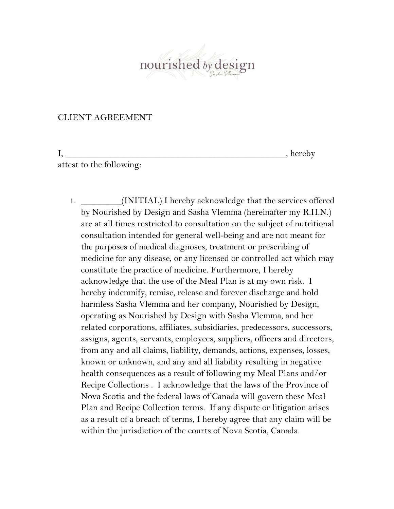nourished by design

## CLIENT AGREEMENT

I, \_\_\_\_\_\_\_\_\_\_\_\_\_\_\_\_\_\_\_\_\_\_\_\_\_\_\_\_\_\_\_\_\_\_\_\_\_\_\_\_\_\_\_\_\_\_\_\_\_, hereby attest to the following:

1. \_\_\_\_\_\_\_\_\_(INITIAL) I hereby acknowledge that the services offered by Nourished by Design and Sasha Vlemma (hereinafter my R.H.N.) are at all times restricted to consultation on the subject of nutritional consultation intended for general well-being and are not meant for the purposes of medical diagnoses, treatment or prescribing of medicine for any disease, or any licensed or controlled act which may constitute the practice of medicine. Furthermore, I hereby acknowledge that the use of the Meal Plan is at my own risk. I hereby indemnify, remise, release and forever discharge and hold harmless Sasha Vlemma and her company, Nourished by Design, operating as Nourished by Design with Sasha Vlemma, and her related corporations, affiliates, subsidiaries, predecessors, successors, assigns, agents, servants, employees, suppliers, officers and directors, from any and all claims, liability, demands, actions, expenses, losses, known or unknown, and any and all liability resulting in negative health consequences as a result of following my Meal Plans and/or Recipe Collections . I acknowledge that the laws of the Province of Nova Scotia and the federal laws of Canada will govern these Meal Plan and Recipe Collection terms. If any dispute or litigation arises as a result of a breach of terms, I hereby agree that any claim will be within the jurisdiction of the courts of Nova Scotia, Canada.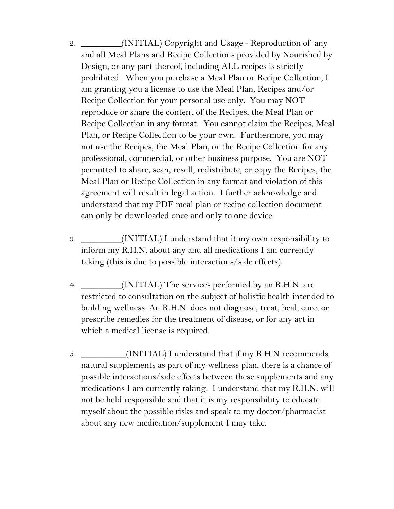- 2. \_\_\_\_\_\_\_\_\_(INITIAL) Copyright and Usage Reproduction of any and all Meal Plans and Recipe Collections provided by Nourished by Design, or any part thereof, including ALL recipes is strictly prohibited. When you purchase a Meal Plan or Recipe Collection, I am granting you a license to use the Meal Plan, Recipes and/or Recipe Collection for your personal use only. You may NOT reproduce or share the content of the Recipes, the Meal Plan or Recipe Collection in any format. You cannot claim the Recipes, Meal Plan, or Recipe Collection to be your own. Furthermore, you may not use the Recipes, the Meal Plan, or the Recipe Collection for any professional, commercial, or other business purpose. You are NOT permitted to share, scan, resell, redistribute, or copy the Recipes, the Meal Plan or Recipe Collection in any format and violation of this agreement will result in legal action. I further acknowledge and understand that my PDF meal plan or recipe collection document can only be downloaded once and only to one device.
- 3. \_\_\_\_\_\_\_\_\_(INITIAL) I understand that it my own responsibility to inform my R.H.N. about any and all medications I am currently taking (this is due to possible interactions/side effects).
- 4. \_\_\_\_\_\_\_\_\_(INITIAL) The services performed by an R.H.N. are restricted to consultation on the subject of holistic health intended to building wellness. An R.H.N. does not diagnose, treat, heal, cure, or prescribe remedies for the treatment of disease, or for any act in which a medical license is required.
- 5. \_\_\_\_\_\_\_\_\_\_(INITIAL) I understand that if my R.H.N recommends natural supplements as part of my wellness plan, there is a chance of possible interactions/side effects between these supplements and any medications I am currently taking. I understand that my R.H.N. will not be held responsible and that it is my responsibility to educate myself about the possible risks and speak to my doctor/pharmacist about any new medication/supplement I may take.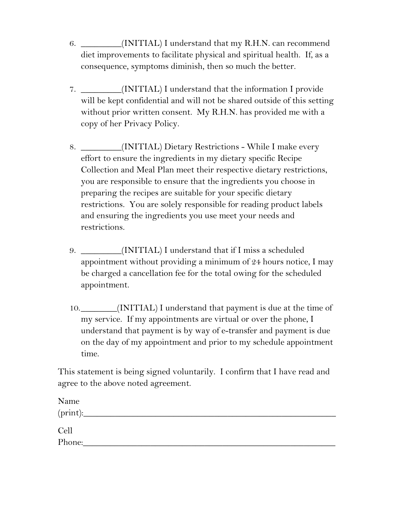- 6. \_\_\_\_\_\_\_\_\_(INITIAL) I understand that my R.H.N. can recommend diet improvements to facilitate physical and spiritual health. If, as a consequence, symptoms diminish, then so much the better.
- 7. \_\_\_\_\_\_\_\_\_(INITIAL) I understand that the information I provide will be kept confidential and will not be shared outside of this setting without prior written consent. My R.H.N. has provided me with a copy of her Privacy Policy.
- 8. \_\_\_\_\_\_\_\_\_(INITIAL) Dietary Restrictions While I make every effort to ensure the ingredients in my dietary specific Recipe Collection and Meal Plan meet their respective dietary restrictions, you are responsible to ensure that the ingredients you choose in preparing the recipes are suitable for your specific dietary restrictions. You are solely responsible for reading product labels and ensuring the ingredients you use meet your needs and restrictions.
- 9. \_\_\_\_\_\_\_\_\_(INITIAL) I understand that if I miss a scheduled appointment without providing a minimum of 24 hours notice, I may be charged a cancellation fee for the total owing for the scheduled appointment.
- 10.\_\_\_\_\_\_\_\_(INITIAL) I understand that payment is due at the time of my service. If my appointments are virtual or over the phone, I understand that payment is by way of e-transfer and payment is due on the day of my appointment and prior to my schedule appointment time.

This statement is being signed voluntarily. I confirm that I have read and agree to the above noted agreement.